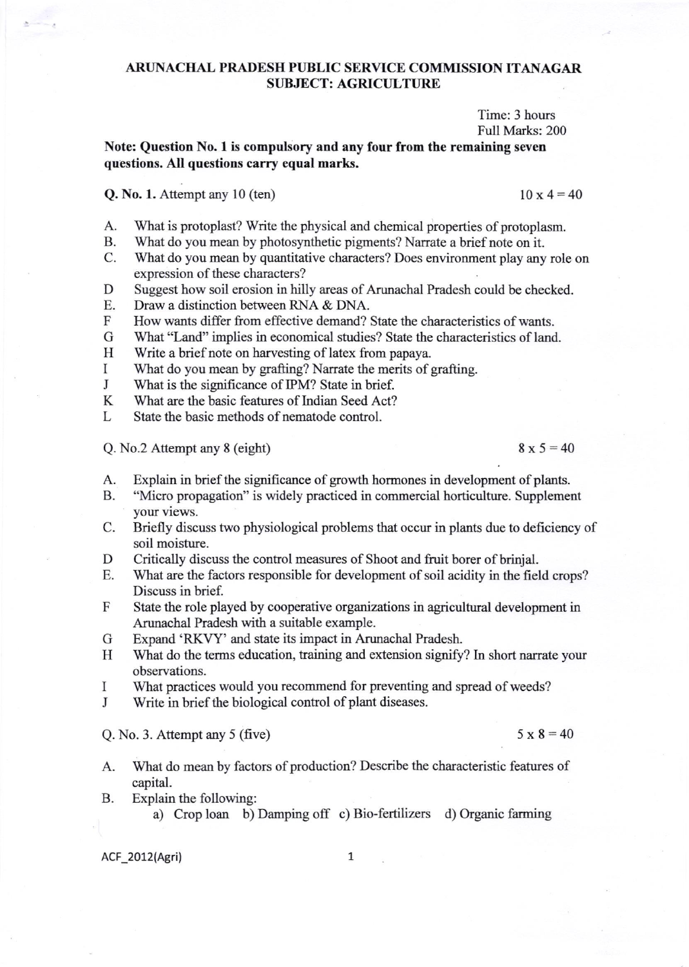## ARTINACHAL PRADESH PUBLIC SERVICE COMMISSION ITANAGAR **SUBJECT: AGRICULTURE**

Time: 3 hours Full Marks: 200

## Note: Question No. I is compulsory and any four from the remaining seven questions. All questions carry equal marks.

## **Q. No. 1.** Attempt any 10 (ten)  $10 \times 4 = 40$

- A. What is protoplast? Write the physical and chemical properties of protoplasm.<br>B. What do you mean by photosynthetic pigments? Narrate a brief note on it.
- B. What do you mean by photosynthetic pigments? Narrate a brief note on it.<br>C. What do you mean by quantitative characters? Does environment play any role on
- expression of these characters?
- D Suggest how soil erosion in hilly areas of Arunachal Pradesh could be checked.<br>E. Draw a distinction between RNA & DNA.
- E. Draw a distinction between RNA & DNA.<br>F How wants differ from effective demand?
- F How wants differ from effective demand? State the characteristics of wants.<br>G What "Land" implies in economical studies? State the characteristics of land
- G What "Land" implies in economical studies? State the characteristics of land.<br>H Write a brief note on harvesting of latex from papaya.
- H Write a brief note on harvesting of latex from papaya.<br>I What do you mean by grafting? Narrate the merits of a
- What do you mean by grafting? Narrate the merits of grafting.
- J What is the significance of IPM? State in brief.<br>K What are the basic features of Indian Seed Act?
- K What are the basic features of Indian Seed Act?<br>L State the basic methods of nematode control.
- State the basic methods of nematode control.

Q. No.2 Attempt any 8 (eight)  $8 \times 5 = 40$ 

- A. Explain in brief the significance of growth hormones in development of plants.<br>B. "Micro propagation" is widely practiced in commercial horticulture. Supplement
- "Micro propagation" is widely practiced in commercial horticulture. Supplement your views.
- C. Briefly discuss two physiological problems that occur in plants due to deficiency of soil moistwe.
- D Critically discuss the control measures of Shoot and fruit borer of brinjal.<br>E. What are the factors responsible for development of soil acidity in the fiel
- What are the factors responsible for development of soil acidity in the field crops? Discuss in brief.
- F State the role played by cooperative organizations in agricultural development in Arunachal Pradesh with a suitable example.
- G Expand 'RKW' and state its impact in Arunachal Pradesh.
- H What do the terms education, training and extension signify? In short narrate your observations.
- I What practices would you recommend for preventing and spread of weeds?
- J Write in brief the biological control of plant diseases.

Q. No. 3. Attempt any 5 (five)  $5 \times 8 = 40$ 

- A. What do mean by factors of production? Describe the characteristic features of capital.
- B. Explain the following:
	- a) Crop loan b) Damping off c) Bio-fertilizers d) Organic farming

ACF\_2012(Agri) 1